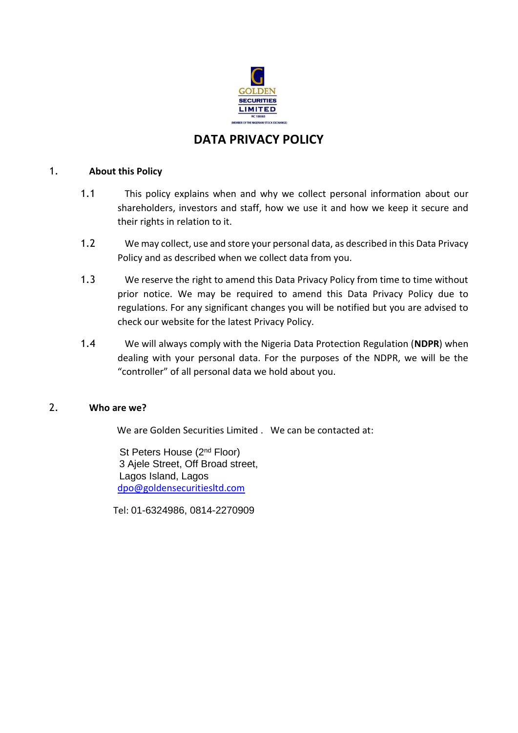

# **DATA PRIVACY POLICY**

#### 1. **About this Policy**

- 1.1 This policy explains when and why we collect personal information about our shareholders, investors and staff, how we use it and how we keep it secure and their rights in relation to it.
- 1.2 We may collect, use and store your personal data, as described in this Data Privacy Policy and as described when we collect data from you.
- 1.3 We reserve the right to amend this Data Privacy Policy from time to time without prior notice. We may be required to amend this Data Privacy Policy due to regulations. For any significant changes you will be notified but you are advised to check our website for the latest Privacy Policy.
- 1.4 We will always comply with the Nigeria Data Protection Regulation (**NDPR**) when dealing with your personal data. For the purposes of the NDPR, we will be the "controller" of all personal data we hold about you.

#### 2. **Who are we?**

We are Golden Securities Limited . We can be contacted at:

St Peters House (2<sup>nd</sup> Floor) 3 Ajele Street, Off Broad street, Lagos Island, Lagos [dpo@goldensecuritiesltd.com](mailto:dpo@fsl.ng)

Tel: 01-6324986, 0814-2270909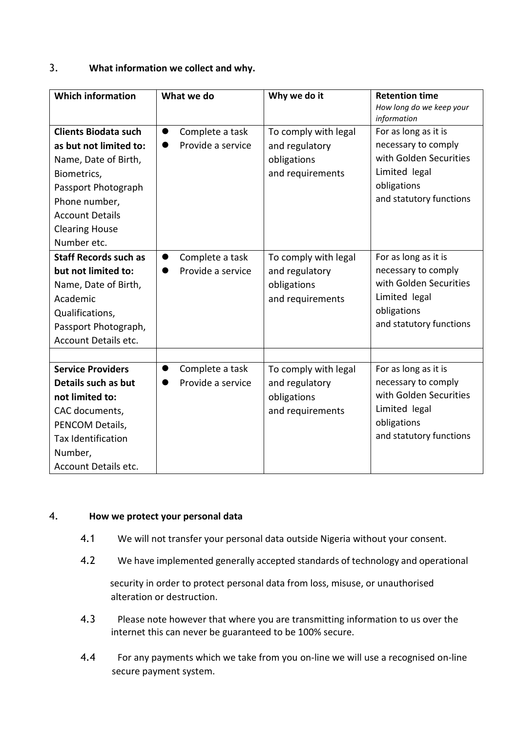## 3. **What information we collect and why.**

| <b>Which information</b>                                                                                                                                                                               | What we do                                        | Why we do it                                                              | <b>Retention time</b><br>How long do we keep your<br>information                                                                 |
|--------------------------------------------------------------------------------------------------------------------------------------------------------------------------------------------------------|---------------------------------------------------|---------------------------------------------------------------------------|----------------------------------------------------------------------------------------------------------------------------------|
| <b>Clients Biodata such</b><br>as but not limited to:<br>Name, Date of Birth,<br>Biometrics,<br>Passport Photograph<br>Phone number,<br><b>Account Details</b><br><b>Clearing House</b><br>Number etc. | Complete a task<br>$\bullet$<br>Provide a service | To comply with legal<br>and regulatory<br>obligations<br>and requirements | For as long as it is<br>necessary to comply<br>with Golden Securities<br>Limited legal<br>obligations<br>and statutory functions |
| <b>Staff Records such as</b><br>but not limited to:<br>Name, Date of Birth,<br>Academic<br>Qualifications,<br>Passport Photograph,<br><b>Account Details etc.</b>                                      | Complete a task<br>$\bullet$<br>Provide a service | To comply with legal<br>and regulatory<br>obligations<br>and requirements | For as long as it is<br>necessary to comply<br>with Golden Securities<br>Limited legal<br>obligations<br>and statutory functions |
| <b>Service Providers</b><br>Details such as but<br>not limited to:<br>CAC documents,<br>PENCOM Details,<br><b>Tax Identification</b><br>Number,<br>Account Details etc.                                | Complete a task<br>Provide a service              | To comply with legal<br>and regulatory<br>obligations<br>and requirements | For as long as it is<br>necessary to comply<br>with Golden Securities<br>Limited legal<br>obligations<br>and statutory functions |

#### 4. **How we protect your personal data**

- 4.1 We will not transfer your personal data outside Nigeria without your consent.
- 4.2 We have implemented generally accepted standards of technology and operational

security in order to protect personal data from loss, misuse, or unauthorised alteration or destruction.

- 4.3 Please note however that where you are transmitting information to us over the internet this can never be guaranteed to be 100% secure.
- 4.4 For any payments which we take from you on-line we will use a recognised on-line secure payment system.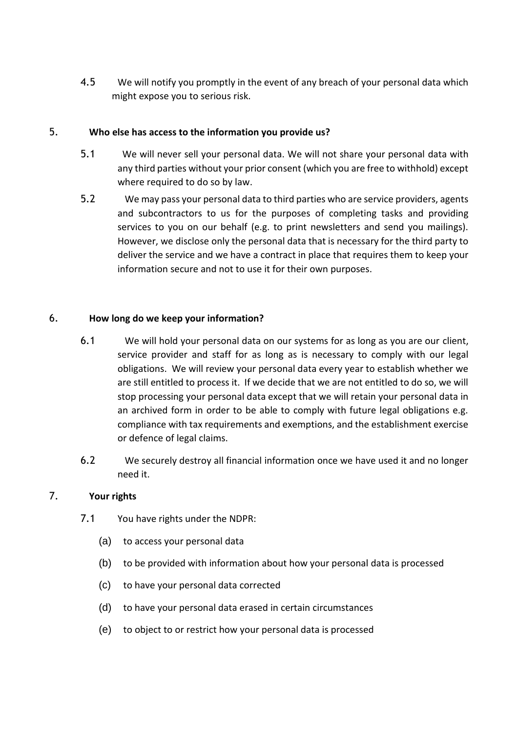4.5 We will notify you promptly in the event of any breach of your personal data which might expose you to serious risk.

## 5. **Who else has access to the information you provide us?**

- 5.1 We will never sell your personal data. We will not share your personal data with any third parties without your prior consent (which you are free to withhold) except where required to do so by law.
- 5.2 We may pass your personal data to third parties who are service providers, agents and subcontractors to us for the purposes of completing tasks and providing services to you on our behalf (e.g. to print newsletters and send you mailings). However, we disclose only the personal data that is necessary for the third party to deliver the service and we have a contract in place that requires them to keep your information secure and not to use it for their own purposes.

## 6. **How long do we keep your information?**

- 6.1 We will hold your personal data on our systems for as long as you are our client, service provider and staff for as long as is necessary to comply with our legal obligations. We will review your personal data every year to establish whether we are still entitled to process it. If we decide that we are not entitled to do so, we will stop processing your personal data except that we will retain your personal data in an archived form in order to be able to comply with future legal obligations e.g. compliance with tax requirements and exemptions, and the establishment exercise or defence of legal claims.
- 6.2 We securely destroy all financial information once we have used it and no longer need it.

## 7. **Your rights**

- 7.1 You have rights under the NDPR:
	- (a) to access your personal data
	- (b) to be provided with information about how your personal data is processed
	- (c) to have your personal data corrected
	- (d) to have your personal data erased in certain circumstances
	- (e) to object to or restrict how your personal data is processed